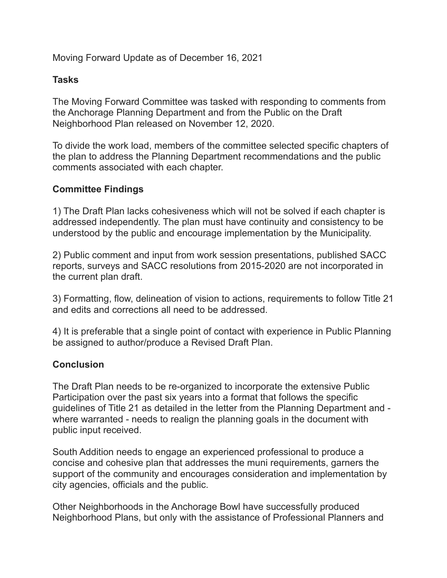Moving Forward Update as of December 16, 2021

## **Tasks**

The Moving Forward Committee was tasked with responding to comments from the Anchorage Planning Department and from the Public on the Draft Neighborhood Plan released on November 12, 2020.

To divide the work load, members of the committee selected specific chapters of the plan to address the Planning Department recommendations and the public comments associated with each chapter.

## **Committee Findings**

1) The Draft Plan lacks cohesiveness which will not be solved if each chapter is addressed independently. The plan must have continuity and consistency to be understood by the public and encourage implementation by the Municipality.

2) Public comment and input from work session presentations, published SACC reports, surveys and SACC resolutions from 2015-2020 are not incorporated in the current plan draft.

3) Formatting, flow, delineation of vision to actions, requirements to follow Title 21 and edits and corrections all need to be addressed.

4) It is preferable that a single point of contact with experience in Public Planning be assigned to author/produce a Revised Draft Plan.

## **Conclusion**

The Draft Plan needs to be re-organized to incorporate the extensive Public Participation over the past six years into a format that follows the specific guidelines of Title 21 as detailed in the letter from the Planning Department and where warranted - needs to realign the planning goals in the document with public input received.

South Addition needs to engage an experienced professional to produce a concise and cohesive plan that addresses the muni requirements, garners the support of the community and encourages consideration and implementation by city agencies, officials and the public.

Other Neighborhoods in the Anchorage Bowl have successfully produced Neighborhood Plans, but only with the assistance of Professional Planners and